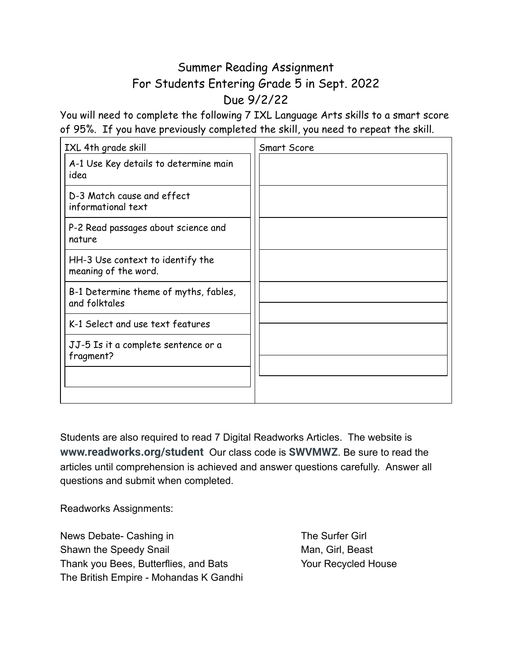## Summer Reading Assignment For Students Entering Grade 5 in Sept. 2022 Due 9/2/22

You will need to complete the following 7 IXL Language Arts skills to a smart score of 95%. If you have previously completed the skill, you need to repeat the skill.

| IXL 4th grade skill                                      | <b>Smart Score</b> |
|----------------------------------------------------------|--------------------|
| A-1 Use Key details to determine main<br>idea            |                    |
| D-3 Match cause and effect<br>informational text         |                    |
| P-2 Read passages about science and<br>nature            |                    |
| HH-3 Use context to identify the<br>meaning of the word. |                    |
| B-1 Determine theme of myths, fables,<br>and folktales   |                    |
| K-1 Select and use text features                         |                    |
| JJ-5 Is it a complete sentence or a<br>fragment?         |                    |
|                                                          |                    |

Students are also required to read 7 Digital Readworks Articles. The website is **www.readworks.org/student** Our class code is **SWVMWZ**. Be sure to read the articles until comprehension is achieved and answer questions carefully. Answer all questions and submit when completed.

Readworks Assignments:

News Debate- Cashing in The Surfer Girl Shawn the Speedy Snail Man, Girl, Beast Thank you Bees, Butterflies, and Bats Your Recycled House The British Empire - Mohandas K Gandhi